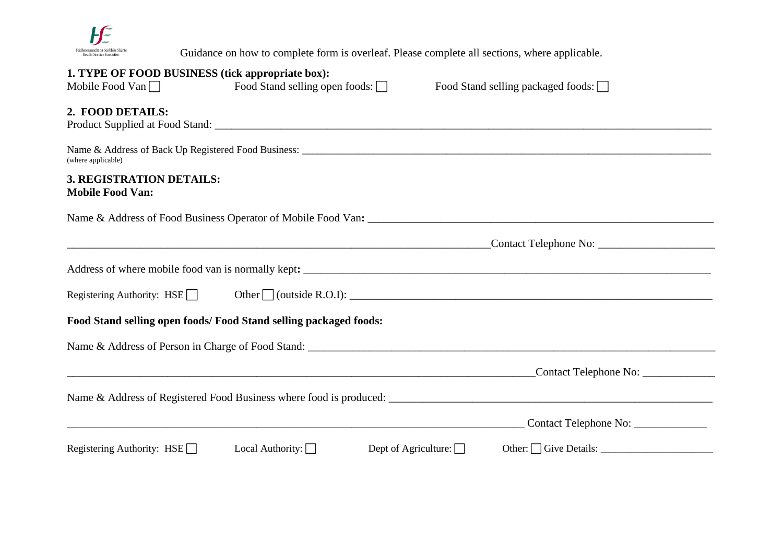

Guidance on how to complete form is overleaf. Please complete all sections, where applicable.

| 1. TYPE OF FOOD BUSINESS (tick appropriate box):<br>Mobile Food Van $\Box$ | Food Stand selling open foods: $\Box$                             | Food Stand selling packaged foods: $\Box$             |
|----------------------------------------------------------------------------|-------------------------------------------------------------------|-------------------------------------------------------|
| 2. FOOD DETAILS:                                                           |                                                                   |                                                       |
| (where applicable)                                                         |                                                                   |                                                       |
| 3. REGISTRATION DETAILS:<br><b>Mobile Food Van:</b>                        |                                                                   |                                                       |
|                                                                            |                                                                   |                                                       |
|                                                                            |                                                                   |                                                       |
|                                                                            |                                                                   |                                                       |
|                                                                            |                                                                   |                                                       |
|                                                                            | Food Stand selling open foods/ Food Stand selling packaged foods: |                                                       |
|                                                                            |                                                                   |                                                       |
|                                                                            |                                                                   |                                                       |
|                                                                            |                                                                   |                                                       |
|                                                                            |                                                                   |                                                       |
| Registering Authority: $HSE$                                               | Local Authority: $\Box$                                           | Dept of Agriculture: $\Box$<br>Other: C Give Details: |